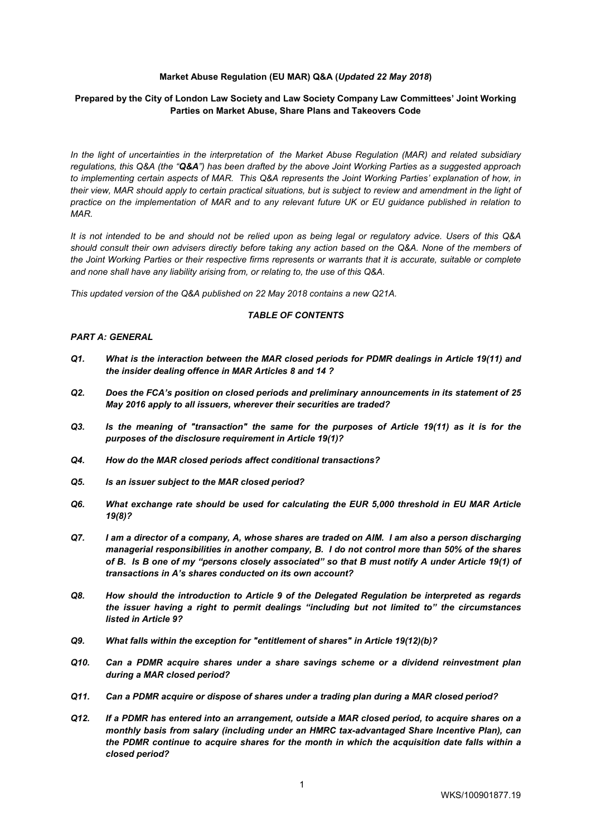#### **Market Abuse Regulation (EU MAR) Q&A (***Updated 22 May 2018***)**

## **Prepared by the City of London Law Society and Law Society Company Law Committees' Joint Working Parties on Market Abuse, Share Plans and Takeovers Code**

*In the light of uncertainties in the interpretation of the Market Abuse Regulation (MAR) and related subsidiary regulations, this Q&A (the "Q&A") has been drafted by the above Joint Working Parties as a suggested approach*  to implementing certain aspects of MAR. This Q&A represents the Joint Working Parties' explanation of how, in *their view, MAR should apply to certain practical situations, but is subject to review and amendment in the light of practice on the implementation of MAR and to any relevant future UK or EU guidance published in relation to MAR.* 

*It is not intended to be and should not be relied upon as being legal or regulatory advice. Users of this Q&A should consult their own advisers directly before taking any action based on the Q&A. None of the members of the Joint Working Parties or their respective firms represents or warrants that it is accurate, suitable or complete and none shall have any liability arising from, or relating to, the use of this Q&A.* 

*This updated version of the Q&A published on 22 May 2018 contains a new Q21A.* 

#### *TABLE OF CONTENTS*

#### *PART A: GENERAL*

- *Q1. What is the interaction between the MAR closed periods for PDMR dealings in Article 19(11) and the insider dealing offence in MAR Articles 8 and 14 ?*
- *Q2. Does the FCA's position on closed periods and preliminary announcements in its statement of 25 May 2016 apply to all issuers, wherever their securities are traded?*
- *Q3. Is the meaning of "transaction" the same for the purposes of Article 19(11) as it is for the purposes of the disclosure requirement in Article 19(1)?*
- *Q4. How do the MAR closed periods affect conditional transactions?*
- *Q5. Is an issuer subject to the MAR closed period?*
- *Q6. What exchange rate should be used for calculating the EUR 5,000 threshold in EU MAR Article 19(8)?*
- *Q7. I am a director of a company, A, whose shares are traded on AIM. I am also a person discharging managerial responsibilities in another company, B. I do not control more than 50% of the shares of B. Is B one of my "persons closely associated" so that B must notify A under Article 19(1) of transactions in A's shares conducted on its own account?*
- *Q8. How should the introduction to Article 9 of the Delegated Regulation be interpreted as regards the issuer having a right to permit dealings "including but not limited to" the circumstances listed in Article 9?*
- *Q9. What falls within the exception for "entitlement of shares" in Article 19(12)(b)?*
- *Q10. Can a PDMR acquire shares under a share savings scheme or a dividend reinvestment plan during a MAR closed period?*
- *Q11. Can a PDMR acquire or dispose of shares under a trading plan during a MAR closed period?*
- *Q12. If a PDMR has entered into an arrangement, outside a MAR closed period, to acquire shares on a monthly basis from salary (including under an HMRC tax-advantaged Share Incentive Plan), can the PDMR continue to acquire shares for the month in which the acquisition date falls within a closed period?*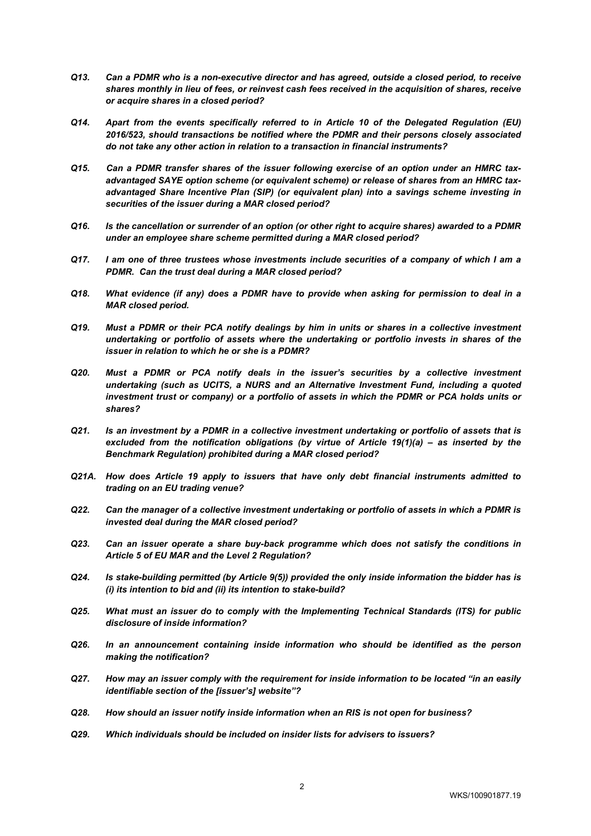- *Q13. Can a PDMR who is a non-executive director and has agreed, outside a closed period, to receive shares monthly in lieu of fees, or reinvest cash fees received in the acquisition of shares, receive or acquire shares in a closed period?*
- *Q14. Apart from the events specifically referred to in Article 10 of the Delegated Regulation (EU) 2016/523, should transactions be notified where the PDMR and their persons closely associated do not take any other action in relation to a transaction in financial instruments?*
- *Q15. Can a PDMR transfer shares of the issuer following exercise of an option under an HMRC tax*advantaged SAYE option scheme (or equivalent scheme) or release of shares from an HMRC tax*advantaged Share Incentive Plan (SIP) (or equivalent plan) into a savings scheme investing in securities of the issuer during a MAR closed period?*
- *Q16. Is the cancellation or surrender of an option (or other right to acquire shares) awarded to a PDMR under an employee share scheme permitted during a MAR closed period?*
- *Q17. I am one of three trustees whose investments include securities of a company of which I am a PDMR. Can the trust deal during a MAR closed period?*
- *Q18. What evidence (if any) does a PDMR have to provide when asking for permission to deal in a MAR closed period.*
- *Q19. Must a PDMR or their PCA notify dealings by him in units or shares in a collective investment undertaking or portfolio of assets where the undertaking or portfolio invests in shares of the issuer in relation to which he or she is a PDMR?*
- *Q20. Must a PDMR or PCA notify deals in the issuer's securities by a collective investment undertaking (such as UCITS, a NURS and an Alternative Investment Fund, including a quoted investment trust or company) or a portfolio of assets in which the PDMR or PCA holds units or shares?*
- *Q21. Is an investment by a PDMR in a collective investment undertaking or portfolio of assets that is excluded from the notification obligations (by virtue of Article 19(1)(a) – as inserted by the Benchmark Regulation) prohibited during a MAR closed period?*
- *Q21A. How does Article 19 apply to issuers that have only debt financial instruments admitted to trading on an EU trading venue?*
- *Q22. Can the manager of a collective investment undertaking or portfolio of assets in which a PDMR is invested deal during the MAR closed period?*
- *Q23. Can an issuer operate a share buy-back programme which does not satisfy the conditions in Article 5 of EU MAR and the Level 2 Regulation?*
- *Q24. Is stake-building permitted (by Article 9(5)) provided the only inside information the bidder has is (i) its intention to bid and (ii) its intention to stake-build?*
- *Q25. What must an issuer do to comply with the Implementing Technical Standards (ITS) for public disclosure of inside information?*
- *Q26. In an announcement containing inside information who should be identified as the person making the notification?*
- *Q27. How may an issuer comply with the requirement for inside information to be located "in an easily identifiable section of the [issuer's] website"?*
- *Q28. How should an issuer notify inside information when an RIS is not open for business?*
- *Q29. Which individuals should be included on insider lists for advisers to issuers?*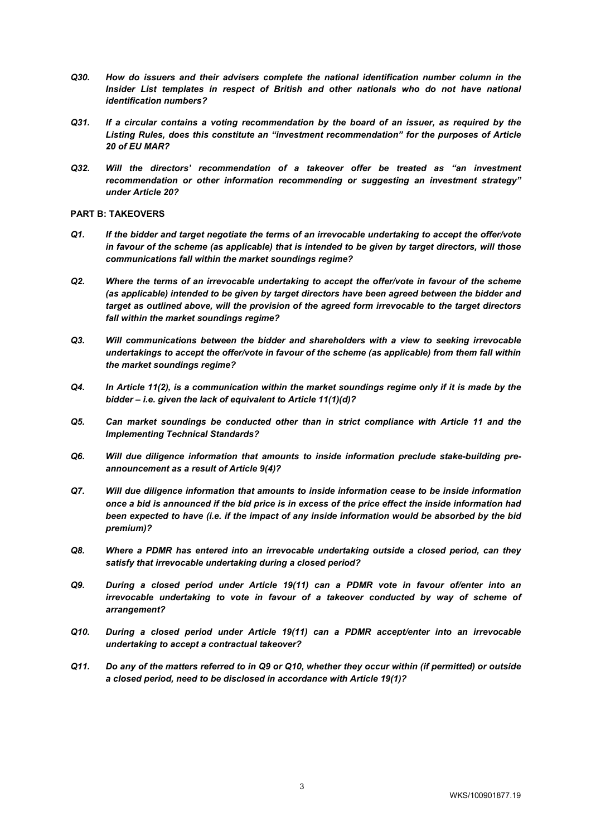- *Q30. How do issuers and their advisers complete the national identification number column in the Insider List templates in respect of British and other nationals who do not have national identification numbers?*
- *Q31. If a circular contains a voting recommendation by the board of an issuer, as required by the Listing Rules, does this constitute an "investment recommendation" for the purposes of Article 20 of EU MAR?*
- *Q32. Will the directors' recommendation of a takeover offer be treated as "an investment recommendation or other information recommending or suggesting an investment strategy" under Article 20?*

#### **PART B: TAKEOVERS**

- *Q1. If the bidder and target negotiate the terms of an irrevocable undertaking to accept the offer/vote in favour of the scheme (as applicable) that is intended to be given by target directors, will those communications fall within the market soundings regime?*
- *Q2. Where the terms of an irrevocable undertaking to accept the offer/vote in favour of the scheme (as applicable) intended to be given by target directors have been agreed between the bidder and target as outlined above, will the provision of the agreed form irrevocable to the target directors fall within the market soundings regime?*
- *Q3. Will communications between the bidder and shareholders with a view to seeking irrevocable undertakings to accept the offer/vote in favour of the scheme (as applicable) from them fall within the market soundings regime?*
- *Q4. In Article 11(2), is a communication within the market soundings regime only if it is made by the bidder – i.e. given the lack of equivalent to Article 11(1)(d)?*
- *Q5. Can market soundings be conducted other than in strict compliance with Article 11 and the Implementing Technical Standards?*
- *Q6. Will due diligence information that amounts to inside information preclude stake-building preannouncement as a result of Article 9(4)?*
- *Q7. Will due diligence information that amounts to inside information cease to be inside information once a bid is announced if the bid price is in excess of the price effect the inside information had been expected to have (i.e. if the impact of any inside information would be absorbed by the bid premium)?*
- *Q8. Where a PDMR has entered into an irrevocable undertaking outside a closed period, can they satisfy that irrevocable undertaking during a closed period?*
- *Q9. During a closed period under Article 19(11) can a PDMR vote in favour of/enter into an irrevocable undertaking to vote in favour of a takeover conducted by way of scheme of arrangement?*
- *Q10. During a closed period under Article 19(11) can a PDMR accept/enter into an irrevocable undertaking to accept a contractual takeover?*
- *Q11. Do any of the matters referred to in Q9 or Q10, whether they occur within (if permitted) or outside a closed period, need to be disclosed in accordance with Article 19(1)?*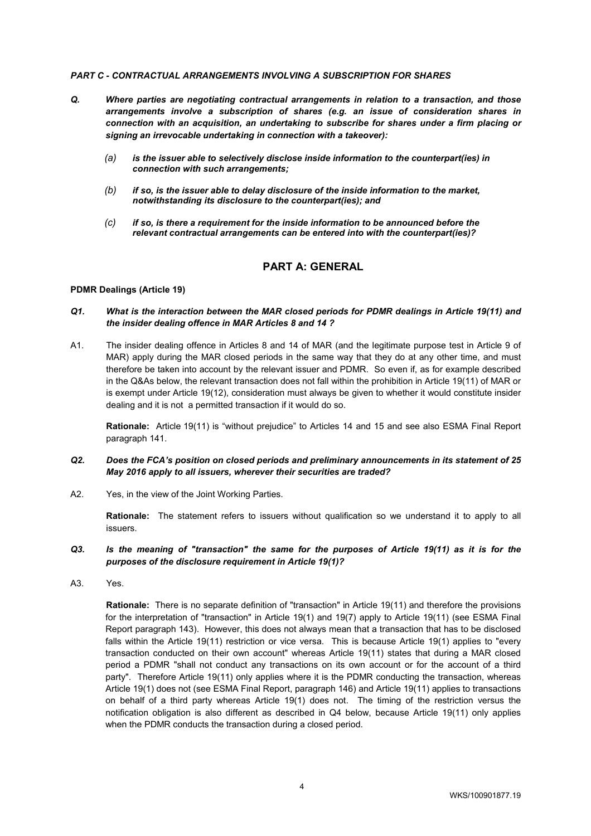#### *PART C - CONTRACTUAL ARRANGEMENTS INVOLVING A SUBSCRIPTION FOR SHARES*

- *Q. Where parties are negotiating contractual arrangements in relation to a transaction, and those arrangements involve a subscription of shares (e.g. an issue of consideration shares in connection with an acquisition, an undertaking to subscribe for shares under a firm placing or signing an irrevocable undertaking in connection with a takeover):* 
	- *(a) is the issuer able to selectively disclose inside information to the counterpart(ies) in connection with such arrangements;*
	- *(b) if so, is the issuer able to delay disclosure of the inside information to the market, notwithstanding its disclosure to the counterpart(ies); and*
	- *(c) if so, is there a requirement for the inside information to be announced before the relevant contractual arrangements can be entered into with the counterpart(ies)?*

# **PART A: GENERAL**

#### **PDMR Dealings (Article 19)**

- *Q1. What is the interaction between the MAR closed periods for PDMR dealings in Article 19(11) and the insider dealing offence in MAR Articles 8 and 14 ?*
- A1. The insider dealing offence in Articles 8 and 14 of MAR (and the legitimate purpose test in Article 9 of MAR) apply during the MAR closed periods in the same way that they do at any other time, and must therefore be taken into account by the relevant issuer and PDMR. So even if, as for example described in the Q&As below, the relevant transaction does not fall within the prohibition in Article 19(11) of MAR or is exempt under Article 19(12), consideration must always be given to whether it would constitute insider dealing and it is not a permitted transaction if it would do so.

**Rationale:** Article 19(11) is "without prejudice" to Articles 14 and 15 and see also ESMA Final Report paragraph 141.

- *Q2. Does the FCA's position on closed periods and preliminary announcements in its statement of 25 May 2016 apply to all issuers, wherever their securities are traded?*
- A2. Yes, in the view of the Joint Working Parties.

**Rationale:** The statement refers to issuers without qualification so we understand it to apply to all issuers.

#### *Q3. Is the meaning of "transaction" the same for the purposes of Article 19(11) as it is for the purposes of the disclosure requirement in Article 19(1)?*

A3. Yes.

**Rationale:** There is no separate definition of "transaction" in Article 19(11) and therefore the provisions for the interpretation of "transaction" in Article 19(1) and 19(7) apply to Article 19(11) (see ESMA Final Report paragraph 143). However, this does not always mean that a transaction that has to be disclosed falls within the Article 19(11) restriction or vice versa. This is because Article 19(1) applies to "every transaction conducted on their own account" whereas Article 19(11) states that during a MAR closed period a PDMR "shall not conduct any transactions on its own account or for the account of a third party". Therefore Article 19(11) only applies where it is the PDMR conducting the transaction, whereas Article 19(1) does not (see ESMA Final Report, paragraph 146) and Article 19(11) applies to transactions on behalf of a third party whereas Article 19(1) does not. The timing of the restriction versus the notification obligation is also different as described in Q4 below, because Article 19(11) only applies when the PDMR conducts the transaction during a closed period.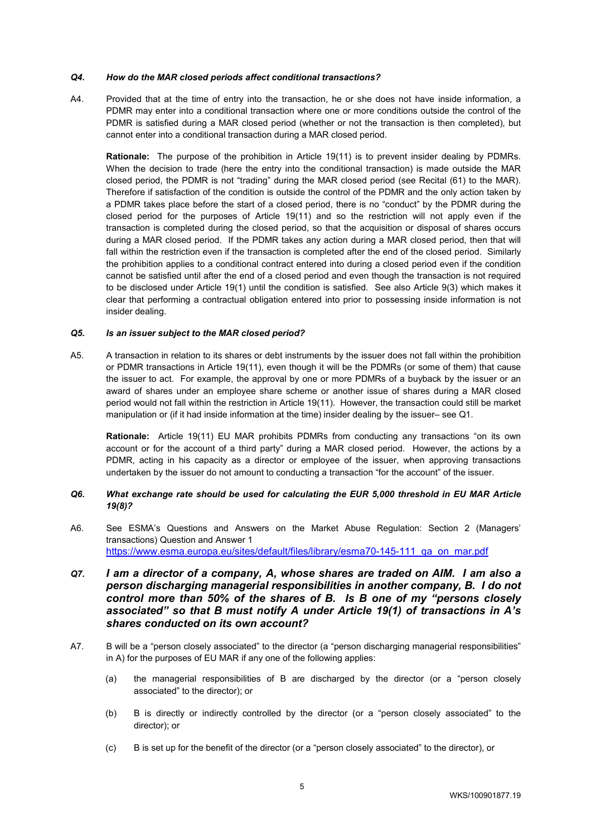#### *Q4. How do the MAR closed periods affect conditional transactions?*

A4. Provided that at the time of entry into the transaction, he or she does not have inside information, a PDMR may enter into a conditional transaction where one or more conditions outside the control of the PDMR is satisfied during a MAR closed period (whether or not the transaction is then completed), but cannot enter into a conditional transaction during a MAR closed period.

 **Rationale:** The purpose of the prohibition in Article 19(11) is to prevent insider dealing by PDMRs. When the decision to trade (here the entry into the conditional transaction) is made outside the MAR closed period, the PDMR is not "trading" during the MAR closed period (see Recital (61) to the MAR). Therefore if satisfaction of the condition is outside the control of the PDMR and the only action taken by a PDMR takes place before the start of a closed period, there is no "conduct" by the PDMR during the closed period for the purposes of Article 19(11) and so the restriction will not apply even if the transaction is completed during the closed period, so that the acquisition or disposal of shares occurs during a MAR closed period. If the PDMR takes any action during a MAR closed period, then that will fall within the restriction even if the transaction is completed after the end of the closed period. Similarly the prohibition applies to a conditional contract entered into during a closed period even if the condition cannot be satisfied until after the end of a closed period and even though the transaction is not required to be disclosed under Article 19(1) until the condition is satisfied. See also Article 9(3) which makes it clear that performing a contractual obligation entered into prior to possessing inside information is not insider dealing.

#### *Q5. Is an issuer subject to the MAR closed period?*

A5. A transaction in relation to its shares or debt instruments by the issuer does not fall within the prohibition or PDMR transactions in Article 19(11), even though it will be the PDMRs (or some of them) that cause the issuer to act. For example, the approval by one or more PDMRs of a buyback by the issuer or an award of shares under an employee share scheme or another issue of shares during a MAR closed period would not fall within the restriction in Article 19(11). However, the transaction could still be market manipulation or (if it had inside information at the time) insider dealing by the issuer– see Q1.

**Rationale:** Article 19(11) EU MAR prohibits PDMRs from conducting any transactions "on its own account or for the account of a third party" during a MAR closed period. However, the actions by a PDMR, acting in his capacity as a director or employee of the issuer, when approving transactions undertaken by the issuer do not amount to conducting a transaction "for the account" of the issuer.

## *Q6. What exchange rate should be used for calculating the EUR 5,000 threshold in EU MAR Article 19(8)?*

- A6. See ESMA's Questions and Answers on the Market Abuse Regulation: Section 2 (Managers' transactions) Question and Answer 1 https://www.esma.europa.eu/sites/default/files/library/esma70-145-111\_qa\_on\_mar.pdf
- *Q7. I am a director of a company, A, whose shares are traded on AIM. I am also a person discharging managerial responsibilities in another company, B. I do not control more than 50% of the shares of B. Is B one of my "persons closely associated" so that B must notify A under Article 19(1) of transactions in A's shares conducted on its own account?*
- A7. B will be a "person closely associated" to the director (a "person discharging managerial responsibilities" in A) for the purposes of EU MAR if any one of the following applies:
	- (a) the managerial responsibilities of B are discharged by the director (or a "person closely associated" to the director); or
	- (b) B is directly or indirectly controlled by the director (or a "person closely associated" to the director); or
	- (c) B is set up for the benefit of the director (or a "person closely associated" to the director), or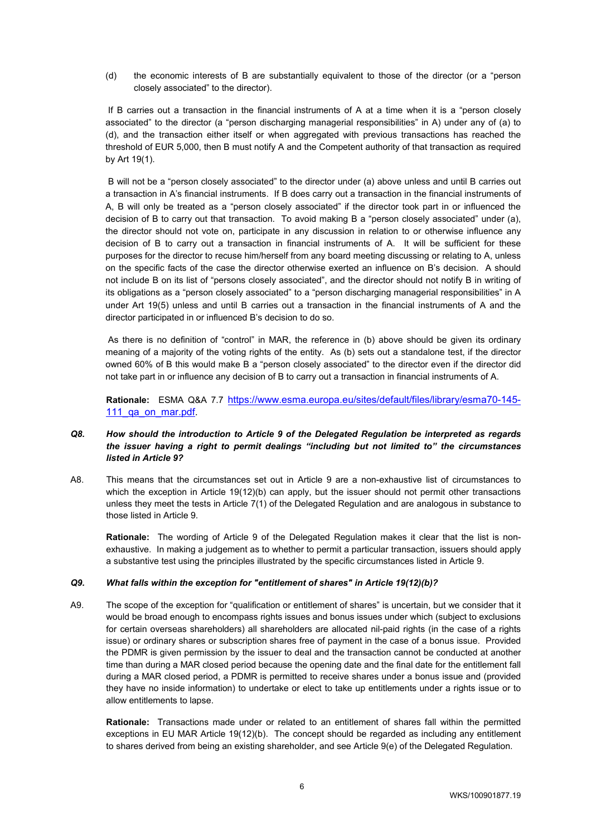(d) the economic interests of B are substantially equivalent to those of the director (or a "person closely associated" to the director).

 If B carries out a transaction in the financial instruments of A at a time when it is a "person closely associated" to the director (a "person discharging managerial responsibilities" in A) under any of (a) to (d), and the transaction either itself or when aggregated with previous transactions has reached the threshold of EUR 5,000, then B must notify A and the Competent authority of that transaction as required by Art 19(1).

 B will not be a "person closely associated" to the director under (a) above unless and until B carries out a transaction in A's financial instruments. If B does carry out a transaction in the financial instruments of A, B will only be treated as a "person closely associated" if the director took part in or influenced the decision of B to carry out that transaction. To avoid making B a "person closely associated" under (a), the director should not vote on, participate in any discussion in relation to or otherwise influence any decision of B to carry out a transaction in financial instruments of A. It will be sufficient for these purposes for the director to recuse him/herself from any board meeting discussing or relating to A, unless on the specific facts of the case the director otherwise exerted an influence on B's decision. A should not include B on its list of "persons closely associated", and the director should not notify B in writing of its obligations as a "person closely associated" to a "person discharging managerial responsibilities" in A under Art 19(5) unless and until B carries out a transaction in the financial instruments of A and the director participated in or influenced B's decision to do so.

 As there is no definition of "control" in MAR, the reference in (b) above should be given its ordinary meaning of a majority of the voting rights of the entity. As (b) sets out a standalone test, if the director owned 60% of B this would make B a "person closely associated" to the director even if the director did not take part in or influence any decision of B to carry out a transaction in financial instruments of A.

**Rationale:** ESMA Q&A 7.7 https://www.esma.europa.eu/sites/default/files/library/esma70-145- 111\_qa\_on\_mar.pdf.

## *Q8. How should the introduction to Article 9 of the Delegated Regulation be interpreted as regards the issuer having a right to permit dealings "including but not limited to" the circumstances listed in Article 9?*

A8. This means that the circumstances set out in Article 9 are a non-exhaustive list of circumstances to which the exception in Article 19(12)(b) can apply, but the issuer should not permit other transactions unless they meet the tests in Article 7(1) of the Delegated Regulation and are analogous in substance to those listed in Article 9.

**Rationale:** The wording of Article 9 of the Delegated Regulation makes it clear that the list is nonexhaustive. In making a judgement as to whether to permit a particular transaction, issuers should apply a substantive test using the principles illustrated by the specific circumstances listed in Article 9.

## *Q9. What falls within the exception for "entitlement of shares" in Article 19(12)(b)?*

A9. The scope of the exception for "qualification or entitlement of shares" is uncertain, but we consider that it would be broad enough to encompass rights issues and bonus issues under which (subject to exclusions for certain overseas shareholders) all shareholders are allocated nil-paid rights (in the case of a rights issue) or ordinary shares or subscription shares free of payment in the case of a bonus issue. Provided the PDMR is given permission by the issuer to deal and the transaction cannot be conducted at another time than during a MAR closed period because the opening date and the final date for the entitlement fall during a MAR closed period, a PDMR is permitted to receive shares under a bonus issue and (provided they have no inside information) to undertake or elect to take up entitlements under a rights issue or to allow entitlements to lapse.

**Rationale:** Transactions made under or related to an entitlement of shares fall within the permitted exceptions in EU MAR Article 19(12)(b). The concept should be regarded as including any entitlement to shares derived from being an existing shareholder, and see Article 9(e) of the Delegated Regulation.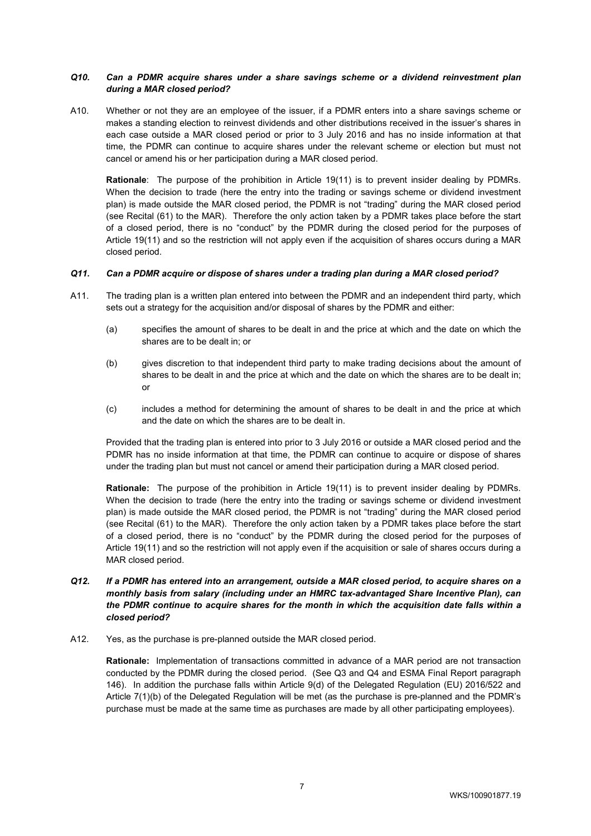### *Q10. Can a PDMR acquire shares under a share savings scheme or a dividend reinvestment plan during a MAR closed period?*

A10. Whether or not they are an employee of the issuer, if a PDMR enters into a share savings scheme or makes a standing election to reinvest dividends and other distributions received in the issuer's shares in each case outside a MAR closed period or prior to 3 July 2016 and has no inside information at that time, the PDMR can continue to acquire shares under the relevant scheme or election but must not cancel or amend his or her participation during a MAR closed period.

**Rationale**: The purpose of the prohibition in Article 19(11) is to prevent insider dealing by PDMRs. When the decision to trade (here the entry into the trading or savings scheme or dividend investment plan) is made outside the MAR closed period, the PDMR is not "trading" during the MAR closed period (see Recital (61) to the MAR). Therefore the only action taken by a PDMR takes place before the start of a closed period, there is no "conduct" by the PDMR during the closed period for the purposes of Article 19(11) and so the restriction will not apply even if the acquisition of shares occurs during a MAR closed period.

#### *Q11. Can a PDMR acquire or dispose of shares under a trading plan during a MAR closed period?*

- A11. The trading plan is a written plan entered into between the PDMR and an independent third party, which sets out a strategy for the acquisition and/or disposal of shares by the PDMR and either:
	- (a) specifies the amount of shares to be dealt in and the price at which and the date on which the shares are to be dealt in; or
	- (b) gives discretion to that independent third party to make trading decisions about the amount of shares to be dealt in and the price at which and the date on which the shares are to be dealt in; or
	- (c) includes a method for determining the amount of shares to be dealt in and the price at which and the date on which the shares are to be dealt in.

Provided that the trading plan is entered into prior to 3 July 2016 or outside a MAR closed period and the PDMR has no inside information at that time, the PDMR can continue to acquire or dispose of shares under the trading plan but must not cancel or amend their participation during a MAR closed period.

**Rationale:** The purpose of the prohibition in Article 19(11) is to prevent insider dealing by PDMRs. When the decision to trade (here the entry into the trading or savings scheme or dividend investment plan) is made outside the MAR closed period, the PDMR is not "trading" during the MAR closed period (see Recital (61) to the MAR). Therefore the only action taken by a PDMR takes place before the start of a closed period, there is no "conduct" by the PDMR during the closed period for the purposes of Article 19(11) and so the restriction will not apply even if the acquisition or sale of shares occurs during a MAR closed period.

- *Q12. If a PDMR has entered into an arrangement, outside a MAR closed period, to acquire shares on a monthly basis from salary (including under an HMRC tax-advantaged Share Incentive Plan), can the PDMR continue to acquire shares for the month in which the acquisition date falls within a closed period?*
- A12. Yes, as the purchase is pre-planned outside the MAR closed period.

**Rationale:** Implementation of transactions committed in advance of a MAR period are not transaction conducted by the PDMR during the closed period. (See Q3 and Q4 and ESMA Final Report paragraph 146). In addition the purchase falls within Article 9(d) of the Delegated Regulation (EU) 2016/522 and Article 7(1)(b) of the Delegated Regulation will be met (as the purchase is pre-planned and the PDMR's purchase must be made at the same time as purchases are made by all other participating employees).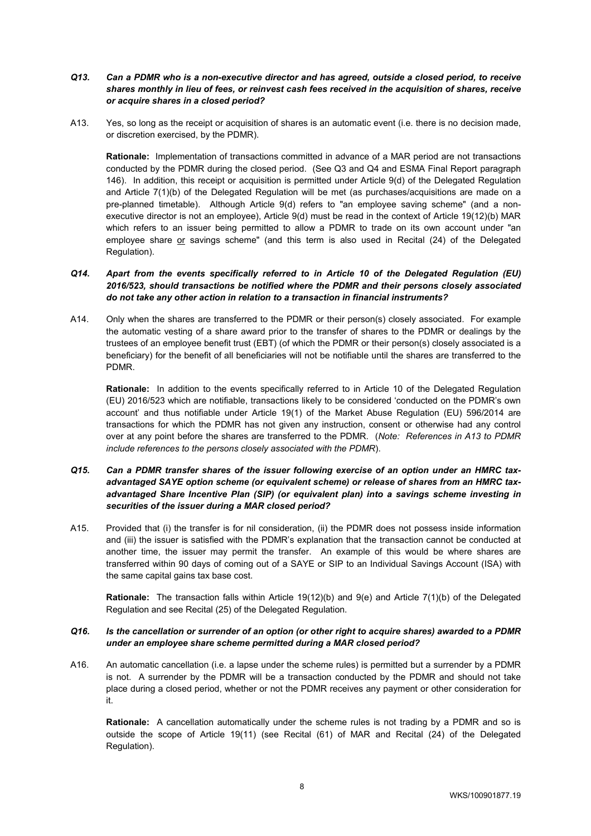- *Q13. Can a PDMR who is a non-executive director and has agreed, outside a closed period, to receive shares monthly in lieu of fees, or reinvest cash fees received in the acquisition of shares, receive or acquire shares in a closed period?*
- A13. Yes, so long as the receipt or acquisition of shares is an automatic event (i.e. there is no decision made, or discretion exercised, by the PDMR).

**Rationale:** Implementation of transactions committed in advance of a MAR period are not transactions conducted by the PDMR during the closed period. (See Q3 and Q4 and ESMA Final Report paragraph 146). In addition, this receipt or acquisition is permitted under Article 9(d) of the Delegated Regulation and Article 7(1)(b) of the Delegated Regulation will be met (as purchases/acquisitions are made on a pre-planned timetable). Although Article 9(d) refers to "an employee saving scheme" (and a nonexecutive director is not an employee), Article 9(d) must be read in the context of Article 19(12)(b) MAR which refers to an issuer being permitted to allow a PDMR to trade on its own account under "an employee share or savings scheme" (and this term is also used in Recital (24) of the Delegated Regulation).

## *Q14. Apart from the events specifically referred to in Article 10 of the Delegated Regulation (EU) 2016/523, should transactions be notified where the PDMR and their persons closely associated do not take any other action in relation to a transaction in financial instruments?*

A14. Only when the shares are transferred to the PDMR or their person(s) closely associated. For example the automatic vesting of a share award prior to the transfer of shares to the PDMR or dealings by the trustees of an employee benefit trust (EBT) (of which the PDMR or their person(s) closely associated is a beneficiary) for the benefit of all beneficiaries will not be notifiable until the shares are transferred to the PDMR.

**Rationale:** In addition to the events specifically referred to in Article 10 of the Delegated Regulation (EU) 2016/523 which are notifiable, transactions likely to be considered 'conducted on the PDMR's own account' and thus notifiable under Article 19(1) of the Market Abuse Regulation (EU) 596/2014 are transactions for which the PDMR has not given any instruction, consent or otherwise had any control over at any point before the shares are transferred to the PDMR. (*Note: References in A13 to PDMR include references to the persons closely associated with the PDMR*).

## *Q15. Can a PDMR transfer shares of the issuer following exercise of an option under an HMRC taxadvantaged SAYE option scheme (or equivalent scheme) or release of shares from an HMRC taxadvantaged Share Incentive Plan (SIP) (or equivalent plan) into a savings scheme investing in securities of the issuer during a MAR closed period?*

A15. Provided that (i) the transfer is for nil consideration, (ii) the PDMR does not possess inside information and (iii) the issuer is satisfied with the PDMR's explanation that the transaction cannot be conducted at another time, the issuer may permit the transfer. An example of this would be where shares are transferred within 90 days of coming out of a SAYE or SIP to an Individual Savings Account (ISA) with the same capital gains tax base cost.

**Rationale:** The transaction falls within Article 19(12)(b) and 9(e) and Article 7(1)(b) of the Delegated Regulation and see Recital (25) of the Delegated Regulation.

## *Q16. Is the cancellation or surrender of an option (or other right to acquire shares) awarded to a PDMR under an employee share scheme permitted during a MAR closed period?*

A16. An automatic cancellation (i.e. a lapse under the scheme rules) is permitted but a surrender by a PDMR is not. A surrender by the PDMR will be a transaction conducted by the PDMR and should not take place during a closed period, whether or not the PDMR receives any payment or other consideration for it.

**Rationale:** A cancellation automatically under the scheme rules is not trading by a PDMR and so is outside the scope of Article 19(11) (see Recital (61) of MAR and Recital (24) of the Delegated Regulation).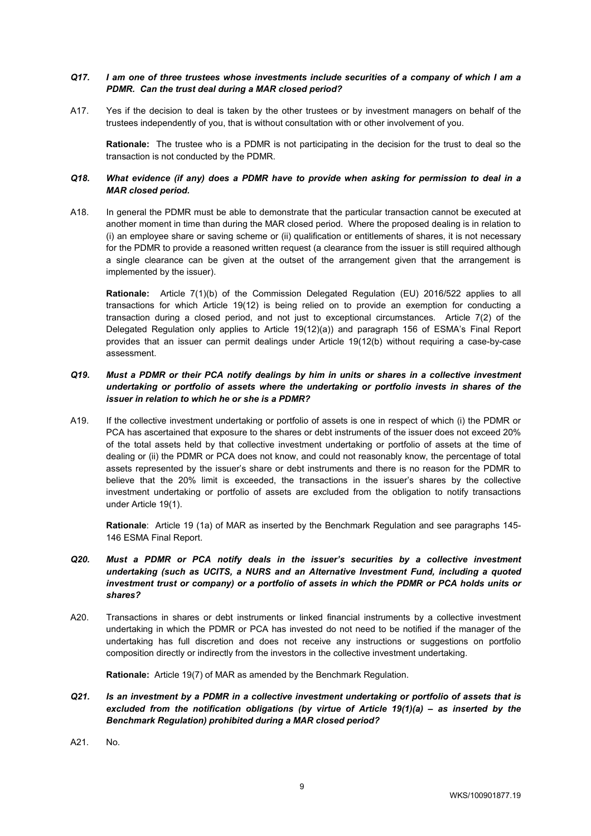### *Q17. I am one of three trustees whose investments include securities of a company of which I am a PDMR. Can the trust deal during a MAR closed period?*

A17. Yes if the decision to deal is taken by the other trustees or by investment managers on behalf of the trustees independently of you, that is without consultation with or other involvement of you.

**Rationale:** The trustee who is a PDMR is not participating in the decision for the trust to deal so the transaction is not conducted by the PDMR.

#### *Q18. What evidence (if any) does a PDMR have to provide when asking for permission to deal in a MAR closed period.*

A18. In general the PDMR must be able to demonstrate that the particular transaction cannot be executed at another moment in time than during the MAR closed period. Where the proposed dealing is in relation to (i) an employee share or saving scheme or (ii) qualification or entitlements of shares, it is not necessary for the PDMR to provide a reasoned written request (a clearance from the issuer is still required although a single clearance can be given at the outset of the arrangement given that the arrangement is implemented by the issuer).

**Rationale:** Article 7(1)(b) of the Commission Delegated Regulation (EU) 2016/522 applies to all transactions for which Article 19(12) is being relied on to provide an exemption for conducting a transaction during a closed period, and not just to exceptional circumstances. Article 7(2) of the Delegated Regulation only applies to Article 19(12)(a)) and paragraph 156 of ESMA's Final Report provides that an issuer can permit dealings under Article 19(12(b) without requiring a case-by-case assessment.

## *Q19. Must a PDMR or their PCA notify dealings by him in units or shares in a collective investment undertaking or portfolio of assets where the undertaking or portfolio invests in shares of the issuer in relation to which he or she is a PDMR?*

A19. If the collective investment undertaking or portfolio of assets is one in respect of which (i) the PDMR or PCA has ascertained that exposure to the shares or debt instruments of the issuer does not exceed 20% of the total assets held by that collective investment undertaking or portfolio of assets at the time of dealing or (ii) the PDMR or PCA does not know, and could not reasonably know, the percentage of total assets represented by the issuer's share or debt instruments and there is no reason for the PDMR to believe that the 20% limit is exceeded, the transactions in the issuer's shares by the collective investment undertaking or portfolio of assets are excluded from the obligation to notify transactions under Article 19(1).

**Rationale**: Article 19 (1a) of MAR as inserted by the Benchmark Regulation and see paragraphs 145- 146 ESMA Final Report.

## *Q20. Must a PDMR or PCA notify deals in the issuer's securities by a collective investment undertaking (such as UCITS, a NURS and an Alternative Investment Fund, including a quoted*  investment trust or company) or a portfolio of assets in which the PDMR or PCA holds units or *shares?*

A20. Transactions in shares or debt instruments or linked financial instruments by a collective investment undertaking in which the PDMR or PCA has invested do not need to be notified if the manager of the undertaking has full discretion and does not receive any instructions or suggestions on portfolio composition directly or indirectly from the investors in the collective investment undertaking.

**Rationale:** Article 19(7) of MAR as amended by the Benchmark Regulation.

- *Q21. Is an investment by a PDMR in a collective investment undertaking or portfolio of assets that is excluded from the notification obligations (by virtue of Article 19(1)(a) – as inserted by the Benchmark Regulation) prohibited during a MAR closed period?*
- A21. No.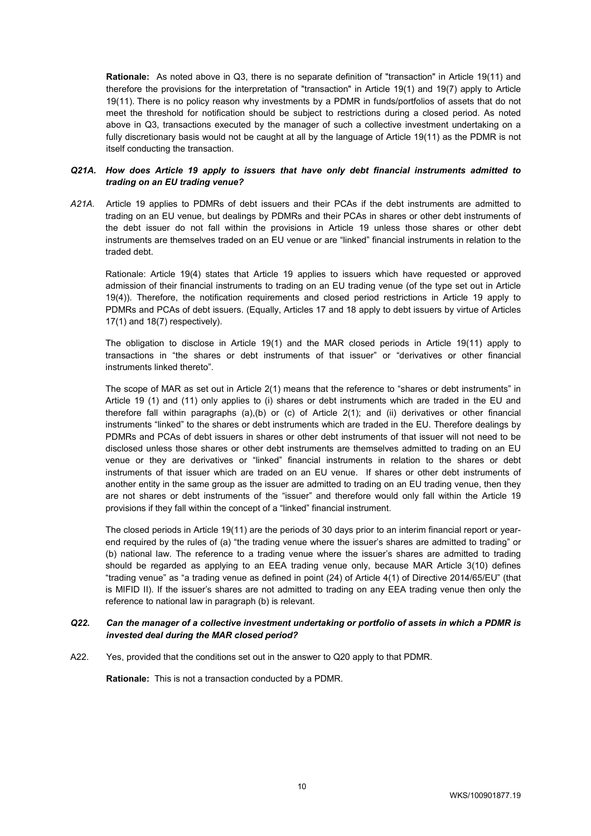**Rationale:** As noted above in Q3, there is no separate definition of "transaction" in Article 19(11) and therefore the provisions for the interpretation of "transaction" in Article 19(1) and 19(7) apply to Article 19(11). There is no policy reason why investments by a PDMR in funds/portfolios of assets that do not meet the threshold for notification should be subject to restrictions during a closed period. As noted above in Q3, transactions executed by the manager of such a collective investment undertaking on a fully discretionary basis would not be caught at all by the language of Article 19(11) as the PDMR is not itself conducting the transaction.

### *Q21A. How does Article 19 apply to issuers that have only debt financial instruments admitted to trading on an EU trading venue?*

*A21A.* Article 19 applies to PDMRs of debt issuers and their PCAs if the debt instruments are admitted to trading on an EU venue, but dealings by PDMRs and their PCAs in shares or other debt instruments of the debt issuer do not fall within the provisions in Article 19 unless those shares or other debt instruments are themselves traded on an EU venue or are "linked" financial instruments in relation to the traded debt.

Rationale: Article 19(4) states that Article 19 applies to issuers which have requested or approved admission of their financial instruments to trading on an EU trading venue (of the type set out in Article 19(4)). Therefore, the notification requirements and closed period restrictions in Article 19 apply to PDMRs and PCAs of debt issuers. (Equally, Articles 17 and 18 apply to debt issuers by virtue of Articles 17(1) and 18(7) respectively).

The obligation to disclose in Article 19(1) and the MAR closed periods in Article 19(11) apply to transactions in "the shares or debt instruments of that issuer" or "derivatives or other financial instruments linked thereto".

The scope of MAR as set out in Article 2(1) means that the reference to "shares or debt instruments" in Article 19 (1) and (11) only applies to (i) shares or debt instruments which are traded in the EU and therefore fall within paragraphs (a),(b) or (c) of Article 2(1); and (ii) derivatives or other financial instruments "linked" to the shares or debt instruments which are traded in the EU. Therefore dealings by PDMRs and PCAs of debt issuers in shares or other debt instruments of that issuer will not need to be disclosed unless those shares or other debt instruments are themselves admitted to trading on an EU venue or they are derivatives or "linked" financial instruments in relation to the shares or debt instruments of that issuer which are traded on an EU venue. If shares or other debt instruments of another entity in the same group as the issuer are admitted to trading on an EU trading venue, then they are not shares or debt instruments of the "issuer" and therefore would only fall within the Article 19 provisions if they fall within the concept of a "linked" financial instrument.

The closed periods in Article 19(11) are the periods of 30 days prior to an interim financial report or yearend required by the rules of (a) "the trading venue where the issuer's shares are admitted to trading" or (b) national law. The reference to a trading venue where the issuer's shares are admitted to trading should be regarded as applying to an EEA trading venue only, because MAR Article 3(10) defines "trading venue" as "a trading venue as defined in point (24) of Article 4(1) of Directive 2014/65/EU" (that is MIFID II). If the issuer's shares are not admitted to trading on any EEA trading venue then only the reference to national law in paragraph (b) is relevant.

#### *Q22. Can the manager of a collective investment undertaking or portfolio of assets in which a PDMR is invested deal during the MAR closed period?*

A22. Yes, provided that the conditions set out in the answer to Q20 apply to that PDMR.

**Rationale:** This is not a transaction conducted by a PDMR.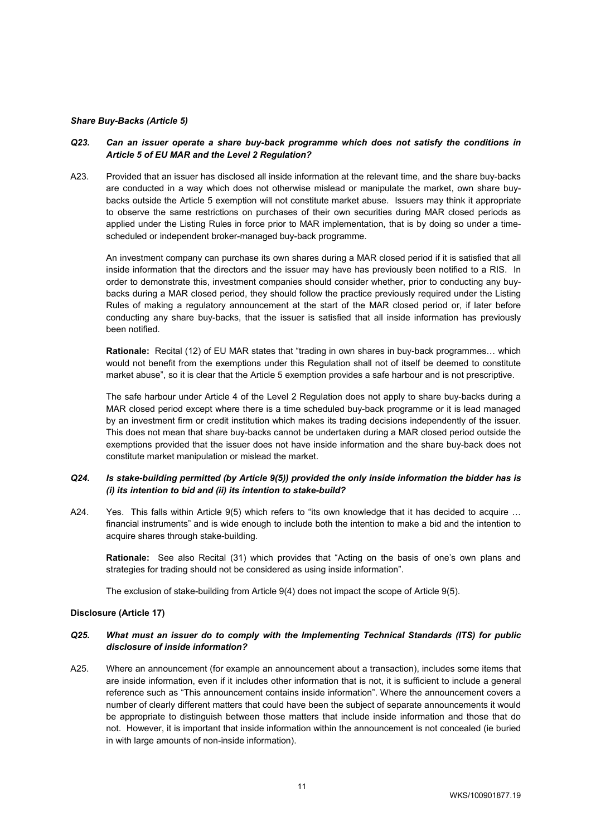#### *Share Buy-Backs (Article 5)*

## *Q23. Can an issuer operate a share buy-back programme which does not satisfy the conditions in Article 5 of EU MAR and the Level 2 Regulation?*

A23. Provided that an issuer has disclosed all inside information at the relevant time, and the share buy-backs are conducted in a way which does not otherwise mislead or manipulate the market, own share buybacks outside the Article 5 exemption will not constitute market abuse. Issuers may think it appropriate to observe the same restrictions on purchases of their own securities during MAR closed periods as applied under the Listing Rules in force prior to MAR implementation, that is by doing so under a timescheduled or independent broker-managed buy-back programme.

An investment company can purchase its own shares during a MAR closed period if it is satisfied that all inside information that the directors and the issuer may have has previously been notified to a RIS. In order to demonstrate this, investment companies should consider whether, prior to conducting any buybacks during a MAR closed period, they should follow the practice previously required under the Listing Rules of making a regulatory announcement at the start of the MAR closed period or, if later before conducting any share buy-backs, that the issuer is satisfied that all inside information has previously been notified.

**Rationale:** Recital (12) of EU MAR states that "trading in own shares in buy-back programmes… which would not benefit from the exemptions under this Regulation shall not of itself be deemed to constitute market abuse", so it is clear that the Article 5 exemption provides a safe harbour and is not prescriptive.

The safe harbour under Article 4 of the Level 2 Regulation does not apply to share buy-backs during a MAR closed period except where there is a time scheduled buy-back programme or it is lead managed by an investment firm or credit institution which makes its trading decisions independently of the issuer. This does not mean that share buy-backs cannot be undertaken during a MAR closed period outside the exemptions provided that the issuer does not have inside information and the share buy-back does not constitute market manipulation or mislead the market.

## *Q24. Is stake-building permitted (by Article 9(5)) provided the only inside information the bidder has is (i) its intention to bid and (ii) its intention to stake-build?*

A24. Yes. This falls within Article 9(5) which refers to "its own knowledge that it has decided to acquire ... financial instruments" and is wide enough to include both the intention to make a bid and the intention to acquire shares through stake-building.

**Rationale:** See also Recital (31) which provides that "Acting on the basis of one's own plans and strategies for trading should not be considered as using inside information".

The exclusion of stake-building from Article 9(4) does not impact the scope of Article 9(5).

## **Disclosure (Article 17)**

#### *Q25. What must an issuer do to comply with the Implementing Technical Standards (ITS) for public disclosure of inside information?*

A25. Where an announcement (for example an announcement about a transaction), includes some items that are inside information, even if it includes other information that is not, it is sufficient to include a general reference such as "This announcement contains inside information". Where the announcement covers a number of clearly different matters that could have been the subject of separate announcements it would be appropriate to distinguish between those matters that include inside information and those that do not. However, it is important that inside information within the announcement is not concealed (ie buried in with large amounts of non-inside information).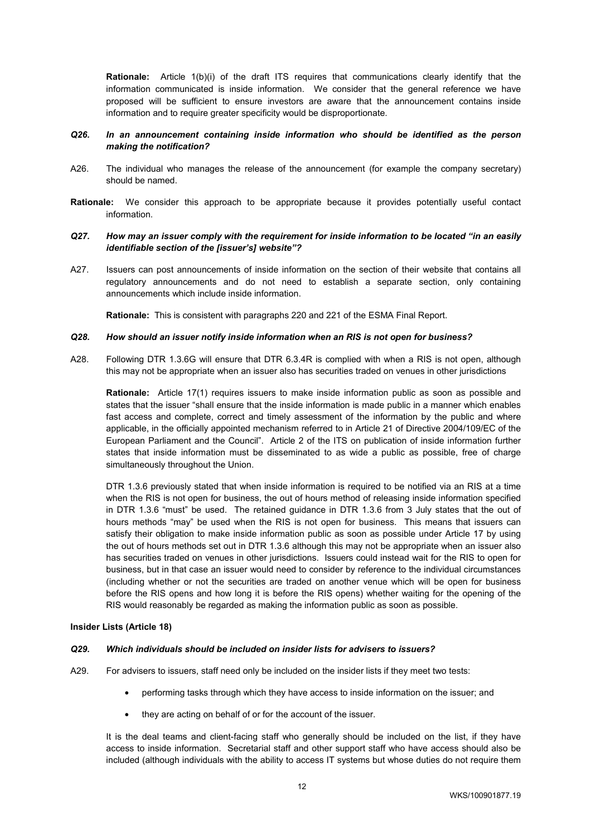**Rationale:** Article 1(b)(i) of the draft ITS requires that communications clearly identify that the information communicated is inside information. We consider that the general reference we have proposed will be sufficient to ensure investors are aware that the announcement contains inside information and to require greater specificity would be disproportionate.

## *Q26. In an announcement containing inside information who should be identified as the person making the notification?*

- A26. The individual who manages the release of the announcement (for example the company secretary) should be named.
- **Rationale:** We consider this approach to be appropriate because it provides potentially useful contact information.

### *Q27. How may an issuer comply with the requirement for inside information to be located "in an easily identifiable section of the [issuer's] website"?*

A27. Issuers can post announcements of inside information on the section of their website that contains all regulatory announcements and do not need to establish a separate section, only containing announcements which include inside information.

**Rationale:** This is consistent with paragraphs 220 and 221 of the ESMA Final Report.

#### *Q28. How should an issuer notify inside information when an RIS is not open for business?*

A28. Following DTR 1.3.6G will ensure that DTR 6.3.4R is complied with when a RIS is not open, although this may not be appropriate when an issuer also has securities traded on venues in other jurisdictions

**Rationale:** Article 17(1) requires issuers to make inside information public as soon as possible and states that the issuer "shall ensure that the inside information is made public in a manner which enables fast access and complete, correct and timely assessment of the information by the public and where applicable, in the officially appointed mechanism referred to in Article 21 of Directive 2004/109/EC of the European Parliament and the Council". Article 2 of the ITS on publication of inside information further states that inside information must be disseminated to as wide a public as possible, free of charge simultaneously throughout the Union.

DTR 1.3.6 previously stated that when inside information is required to be notified via an RIS at a time when the RIS is not open for business, the out of hours method of releasing inside information specified in DTR 1.3.6 "must" be used. The retained guidance in DTR 1.3.6 from 3 July states that the out of hours methods "may" be used when the RIS is not open for business. This means that issuers can satisfy their obligation to make inside information public as soon as possible under Article 17 by using the out of hours methods set out in DTR 1.3.6 although this may not be appropriate when an issuer also has securities traded on venues in other jurisdictions. Issuers could instead wait for the RIS to open for business, but in that case an issuer would need to consider by reference to the individual circumstances (including whether or not the securities are traded on another venue which will be open for business before the RIS opens and how long it is before the RIS opens) whether waiting for the opening of the RIS would reasonably be regarded as making the information public as soon as possible.

#### **Insider Lists (Article 18)**

#### *Q29. Which individuals should be included on insider lists for advisers to issuers?*

- A29. For advisers to issuers, staff need only be included on the insider lists if they meet two tests:
	- performing tasks through which they have access to inside information on the issuer; and
	- they are acting on behalf of or for the account of the issuer.

It is the deal teams and client-facing staff who generally should be included on the list, if they have access to inside information. Secretarial staff and other support staff who have access should also be included (although individuals with the ability to access IT systems but whose duties do not require them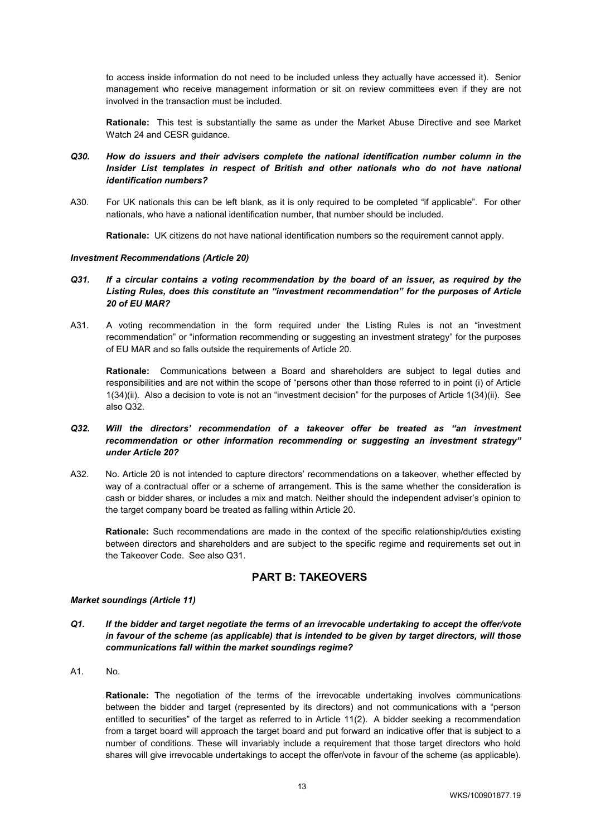to access inside information do not need to be included unless they actually have accessed it). Senior management who receive management information or sit on review committees even if they are not involved in the transaction must be included.

**Rationale:** This test is substantially the same as under the Market Abuse Directive and see Market Watch 24 and CESR quidance.

- *Q30. How do issuers and their advisers complete the national identification number column in the Insider List templates in respect of British and other nationals who do not have national identification numbers?*
- A30. For UK nationals this can be left blank, as it is only required to be completed "if applicable". For other nationals, who have a national identification number, that number should be included.

**Rationale:** UK citizens do not have national identification numbers so the requirement cannot apply.

#### *Investment Recommendations (Article 20)*

- *Q31. If a circular contains a voting recommendation by the board of an issuer, as required by the Listing Rules, does this constitute an "investment recommendation" for the purposes of Article 20 of EU MAR?*
- A31. A voting recommendation in the form required under the Listing Rules is not an "investment recommendation" or "information recommending or suggesting an investment strategy" for the purposes of EU MAR and so falls outside the requirements of Article 20.

**Rationale:** Communications between a Board and shareholders are subject to legal duties and responsibilities and are not within the scope of "persons other than those referred to in point (i) of Article 1(34)(ii). Also a decision to vote is not an "investment decision" for the purposes of Article 1(34)(ii). See also Q32.

## *Q32. Will the directors' recommendation of a takeover offer be treated as "an investment recommendation or other information recommending or suggesting an investment strategy" under Article 20?*

A32. No. Article 20 is not intended to capture directors' recommendations on a takeover, whether effected by way of a contractual offer or a scheme of arrangement. This is the same whether the consideration is cash or bidder shares, or includes a mix and match. Neither should the independent adviser's opinion to the target company board be treated as falling within Article 20.

**Rationale:** Such recommendations are made in the context of the specific relationship/duties existing between directors and shareholders and are subject to the specific regime and requirements set out in the Takeover Code. See also Q31.

# **PART B: TAKEOVERS**

## *Market soundings (Article 11)*

- *Q1. If the bidder and target negotiate the terms of an irrevocable undertaking to accept the offer/vote in favour of the scheme (as applicable) that is intended to be given by target directors, will those communications fall within the market soundings regime?*
- A1. No.

**Rationale:** The negotiation of the terms of the irrevocable undertaking involves communications between the bidder and target (represented by its directors) and not communications with a "person entitled to securities" of the target as referred to in Article 11(2). A bidder seeking a recommendation from a target board will approach the target board and put forward an indicative offer that is subject to a number of conditions. These will invariably include a requirement that those target directors who hold shares will give irrevocable undertakings to accept the offer/vote in favour of the scheme (as applicable).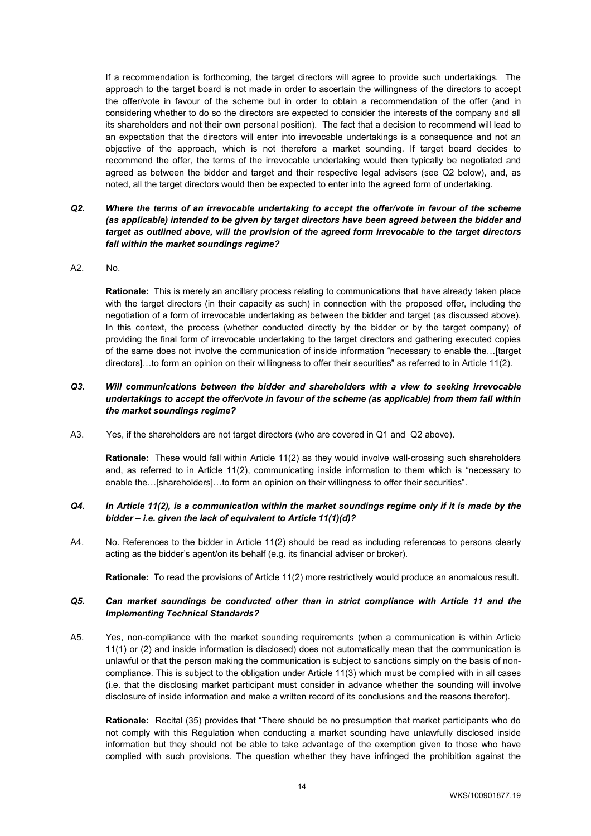If a recommendation is forthcoming, the target directors will agree to provide such undertakings. The approach to the target board is not made in order to ascertain the willingness of the directors to accept the offer/vote in favour of the scheme but in order to obtain a recommendation of the offer (and in considering whether to do so the directors are expected to consider the interests of the company and all its shareholders and not their own personal position). The fact that a decision to recommend will lead to an expectation that the directors will enter into irrevocable undertakings is a consequence and not an objective of the approach, which is not therefore a market sounding. If target board decides to recommend the offer, the terms of the irrevocable undertaking would then typically be negotiated and agreed as between the bidder and target and their respective legal advisers (see Q2 below), and, as noted, all the target directors would then be expected to enter into the agreed form of undertaking.

## *Q2. Where the terms of an irrevocable undertaking to accept the offer/vote in favour of the scheme (as applicable) intended to be given by target directors have been agreed between the bidder and target as outlined above, will the provision of the agreed form irrevocable to the target directors fall within the market soundings regime?*

## A2. No.

**Rationale:** This is merely an ancillary process relating to communications that have already taken place with the target directors (in their capacity as such) in connection with the proposed offer, including the negotiation of a form of irrevocable undertaking as between the bidder and target (as discussed above). In this context, the process (whether conducted directly by the bidder or by the target company) of providing the final form of irrevocable undertaking to the target directors and gathering executed copies of the same does not involve the communication of inside information "necessary to enable the…[target directors]…to form an opinion on their willingness to offer their securities" as referred to in Article 11(2).

## *Q3. Will communications between the bidder and shareholders with a view to seeking irrevocable undertakings to accept the offer/vote in favour of the scheme (as applicable) from them fall within the market soundings regime?*

A3. Yes, if the shareholders are not target directors (who are covered in Q1 and Q2 above).

**Rationale:** These would fall within Article 11(2) as they would involve wall-crossing such shareholders and, as referred to in Article 11(2), communicating inside information to them which is "necessary to enable the...[shareholders]...to form an opinion on their willingness to offer their securities".

## *Q4. In Article 11(2), is a communication within the market soundings regime only if it is made by the bidder – i.e. given the lack of equivalent to Article 11(1)(d)?*

A4. No. References to the bidder in Article 11(2) should be read as including references to persons clearly acting as the bidder's agent/on its behalf (e.g. its financial adviser or broker).

**Rationale:** To read the provisions of Article 11(2) more restrictively would produce an anomalous result.

#### *Q5. Can market soundings be conducted other than in strict compliance with Article 11 and the Implementing Technical Standards?*

A5. Yes, non-compliance with the market sounding requirements (when a communication is within Article 11(1) or (2) and inside information is disclosed) does not automatically mean that the communication is unlawful or that the person making the communication is subject to sanctions simply on the basis of noncompliance. This is subject to the obligation under Article 11(3) which must be complied with in all cases (i.e. that the disclosing market participant must consider in advance whether the sounding will involve disclosure of inside information and make a written record of its conclusions and the reasons therefor).

**Rationale:** Recital (35) provides that "There should be no presumption that market participants who do not comply with this Regulation when conducting a market sounding have unlawfully disclosed inside information but they should not be able to take advantage of the exemption given to those who have complied with such provisions. The question whether they have infringed the prohibition against the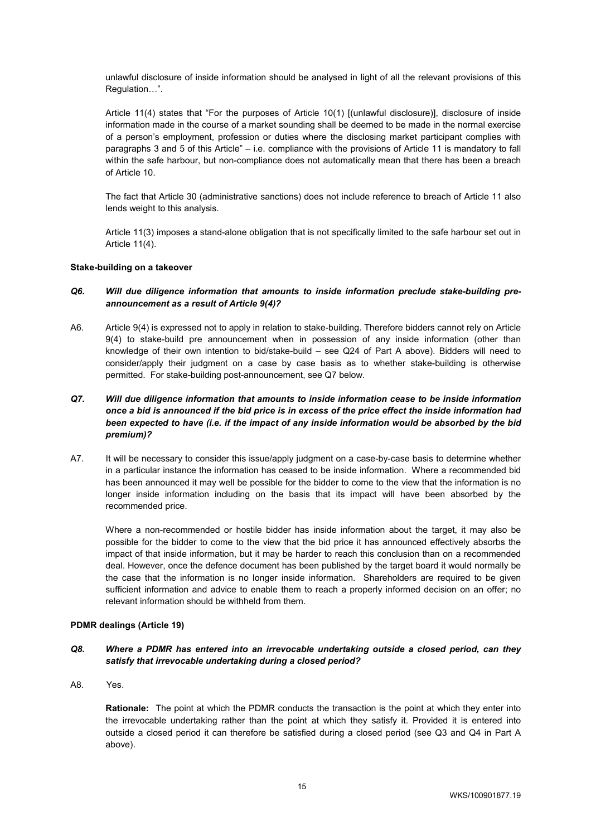unlawful disclosure of inside information should be analysed in light of all the relevant provisions of this Regulation…".

Article 11(4) states that "For the purposes of Article 10(1) [(unlawful disclosure)], disclosure of inside information made in the course of a market sounding shall be deemed to be made in the normal exercise of a person's employment, profession or duties where the disclosing market participant complies with paragraphs 3 and 5 of this Article" – i.e. compliance with the provisions of Article 11 is mandatory to fall within the safe harbour, but non-compliance does not automatically mean that there has been a breach of Article 10.

The fact that Article 30 (administrative sanctions) does not include reference to breach of Article 11 also lends weight to this analysis.

Article 11(3) imposes a stand-alone obligation that is not specifically limited to the safe harbour set out in Article 11(4).

#### **Stake-building on a takeover**

#### *Q6. Will due diligence information that amounts to inside information preclude stake-building preannouncement as a result of Article 9(4)?*

A6. Article 9(4) is expressed not to apply in relation to stake-building. Therefore bidders cannot rely on Article 9(4) to stake-build pre announcement when in possession of any inside information (other than knowledge of their own intention to bid/stake-build – see Q24 of Part A above). Bidders will need to consider/apply their judgment on a case by case basis as to whether stake-building is otherwise permitted. For stake-building post-announcement, see Q7 below.

## *Q7. Will due diligence information that amounts to inside information cease to be inside information once a bid is announced if the bid price is in excess of the price effect the inside information had been expected to have (i.e. if the impact of any inside information would be absorbed by the bid premium)?*

A7. It will be necessary to consider this issue/apply judgment on a case-by-case basis to determine whether in a particular instance the information has ceased to be inside information. Where a recommended bid has been announced it may well be possible for the bidder to come to the view that the information is no longer inside information including on the basis that its impact will have been absorbed by the recommended price.

Where a non-recommended or hostile bidder has inside information about the target, it may also be possible for the bidder to come to the view that the bid price it has announced effectively absorbs the impact of that inside information, but it may be harder to reach this conclusion than on a recommended deal. However, once the defence document has been published by the target board it would normally be the case that the information is no longer inside information. Shareholders are required to be given sufficient information and advice to enable them to reach a properly informed decision on an offer; no relevant information should be withheld from them.

#### **PDMR dealings (Article 19)**

#### *Q8. Where a PDMR has entered into an irrevocable undertaking outside a closed period, can they satisfy that irrevocable undertaking during a closed period?*

A8. Yes.

**Rationale:** The point at which the PDMR conducts the transaction is the point at which they enter into the irrevocable undertaking rather than the point at which they satisfy it. Provided it is entered into outside a closed period it can therefore be satisfied during a closed period (see Q3 and Q4 in Part A above).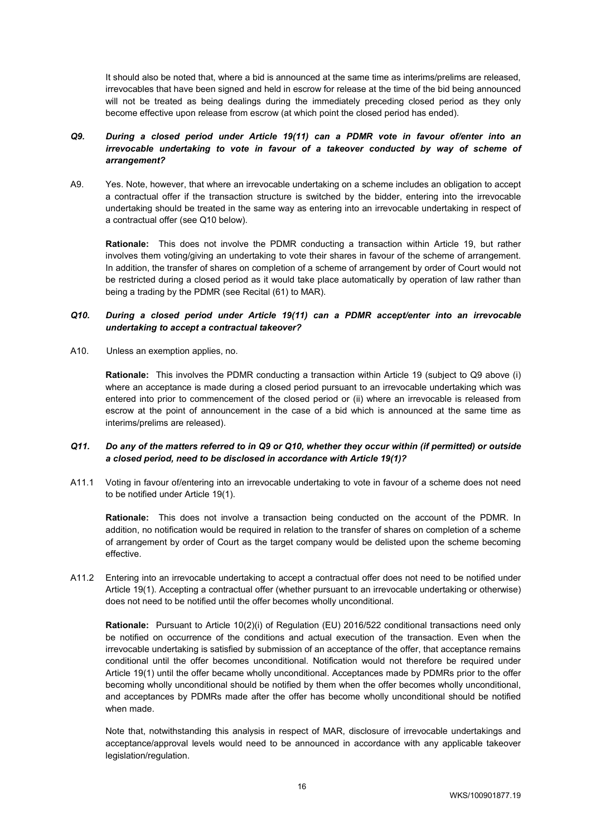It should also be noted that, where a bid is announced at the same time as interims/prelims are released, irrevocables that have been signed and held in escrow for release at the time of the bid being announced will not be treated as being dealings during the immediately preceding closed period as they only become effective upon release from escrow (at which point the closed period has ended).

## *Q9. During a closed period under Article 19(11) can a PDMR vote in favour of/enter into an irrevocable undertaking to vote in favour of a takeover conducted by way of scheme of arrangement?*

A9. Yes. Note, however, that where an irrevocable undertaking on a scheme includes an obligation to accept a contractual offer if the transaction structure is switched by the bidder, entering into the irrevocable undertaking should be treated in the same way as entering into an irrevocable undertaking in respect of a contractual offer (see Q10 below).

**Rationale:** This does not involve the PDMR conducting a transaction within Article 19, but rather involves them voting/giving an undertaking to vote their shares in favour of the scheme of arrangement. In addition, the transfer of shares on completion of a scheme of arrangement by order of Court would not be restricted during a closed period as it would take place automatically by operation of law rather than being a trading by the PDMR (see Recital (61) to MAR).

## *Q10. During a closed period under Article 19(11) can a PDMR accept/enter into an irrevocable undertaking to accept a contractual takeover?*

A10. Unless an exemption applies, no.

**Rationale:** This involves the PDMR conducting a transaction within Article 19 (subject to Q9 above (i) where an acceptance is made during a closed period pursuant to an irrevocable undertaking which was entered into prior to commencement of the closed period or (ii) where an irrevocable is released from escrow at the point of announcement in the case of a bid which is announced at the same time as interims/prelims are released).

## *Q11. Do any of the matters referred to in Q9 or Q10, whether they occur within (if permitted) or outside a closed period, need to be disclosed in accordance with Article 19(1)?*

A11.1 Voting in favour of/entering into an irrevocable undertaking to vote in favour of a scheme does not need to be notified under Article 19(1).

**Rationale:** This does not involve a transaction being conducted on the account of the PDMR. In addition, no notification would be required in relation to the transfer of shares on completion of a scheme of arrangement by order of Court as the target company would be delisted upon the scheme becoming effective.

A11.2 Entering into an irrevocable undertaking to accept a contractual offer does not need to be notified under Article 19(1). Accepting a contractual offer (whether pursuant to an irrevocable undertaking or otherwise) does not need to be notified until the offer becomes wholly unconditional.

**Rationale:** Pursuant to Article 10(2)(i) of Regulation (EU) 2016/522 conditional transactions need only be notified on occurrence of the conditions and actual execution of the transaction. Even when the irrevocable undertaking is satisfied by submission of an acceptance of the offer, that acceptance remains conditional until the offer becomes unconditional. Notification would not therefore be required under Article 19(1) until the offer became wholly unconditional. Acceptances made by PDMRs prior to the offer becoming wholly unconditional should be notified by them when the offer becomes wholly unconditional, and acceptances by PDMRs made after the offer has become wholly unconditional should be notified when made.

Note that, notwithstanding this analysis in respect of MAR, disclosure of irrevocable undertakings and acceptance/approval levels would need to be announced in accordance with any applicable takeover legislation/regulation.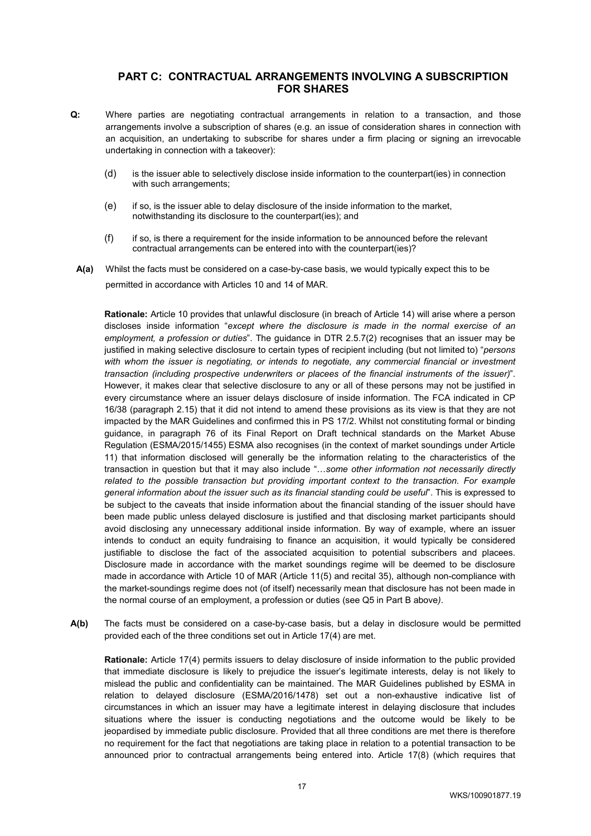# **PART C: CONTRACTUAL ARRANGEMENTS INVOLVING A SUBSCRIPTION FOR SHARES**

- **Q:** Where parties are negotiating contractual arrangements in relation to a transaction, and those arrangements involve a subscription of shares (e.g. an issue of consideration shares in connection with an acquisition, an undertaking to subscribe for shares under a firm placing or signing an irrevocable undertaking in connection with a takeover):
	- (d) is the issuer able to selectively disclose inside information to the counterpart(ies) in connection with such arrangements:
	- (e) if so, is the issuer able to delay disclosure of the inside information to the market, notwithstanding its disclosure to the counterpart(ies); and
	- (f) if so, is there a requirement for the inside information to be announced before the relevant contractual arrangements can be entered into with the counterpart(ies)?
	- **A(a)** Whilst the facts must be considered on a case-by-case basis, we would typically expect this to be permitted in accordance with Articles 10 and 14 of MAR.

**Rationale:** Article 10 provides that unlawful disclosure (in breach of Article 14) will arise where a person discloses inside information "*except where the disclosure is made in the normal exercise of an employment, a profession or duties*". The guidance in DTR 2.5.7(2) recognises that an issuer may be justified in making selective disclosure to certain types of recipient including (but not limited to) "*persons*  with whom the issuer is negotiating, or intends to negotiate, any commercial financial or investment *transaction (including prospective underwriters or placees of the financial instruments of the issuer)*". However, it makes clear that selective disclosure to any or all of these persons may not be justified in every circumstance where an issuer delays disclosure of inside information. The FCA indicated in CP 16/38 (paragraph 2.15) that it did not intend to amend these provisions as its view is that they are not impacted by the MAR Guidelines and confirmed this in PS 17/2. Whilst not constituting formal or binding guidance, in paragraph 76 of its Final Report on Draft technical standards on the Market Abuse Regulation (ESMA/2015/1455) ESMA also recognises (in the context of market soundings under Article 11) that information disclosed will generally be the information relating to the characteristics of the transaction in question but that it may also include "…*some other information not necessarily directly related to the possible transaction but providing important context to the transaction. For example general information about the issuer such as its financial standing could be useful*". This is expressed to be subject to the caveats that inside information about the financial standing of the issuer should have been made public unless delayed disclosure is justified and that disclosing market participants should avoid disclosing any unnecessary additional inside information. By way of example, where an issuer intends to conduct an equity fundraising to finance an acquisition, it would typically be considered justifiable to disclose the fact of the associated acquisition to potential subscribers and placees. Disclosure made in accordance with the market soundings regime will be deemed to be disclosure made in accordance with Article 10 of MAR (Article 11(5) and recital 35), although non-compliance with the market-soundings regime does not (of itself) necessarily mean that disclosure has not been made in the normal course of an employment, a profession or duties (see Q5 in Part B above*)*.

**A(b)** The facts must be considered on a case-by-case basis, but a delay in disclosure would be permitted provided each of the three conditions set out in Article 17(4) are met.

**Rationale:** Article 17(4) permits issuers to delay disclosure of inside information to the public provided that immediate disclosure is likely to prejudice the issuer's legitimate interests, delay is not likely to mislead the public and confidentiality can be maintained. The MAR Guidelines published by ESMA in relation to delayed disclosure (ESMA/2016/1478) set out a non-exhaustive indicative list of circumstances in which an issuer may have a legitimate interest in delaying disclosure that includes situations where the issuer is conducting negotiations and the outcome would be likely to be jeopardised by immediate public disclosure. Provided that all three conditions are met there is therefore no requirement for the fact that negotiations are taking place in relation to a potential transaction to be announced prior to contractual arrangements being entered into. Article 17(8) (which requires that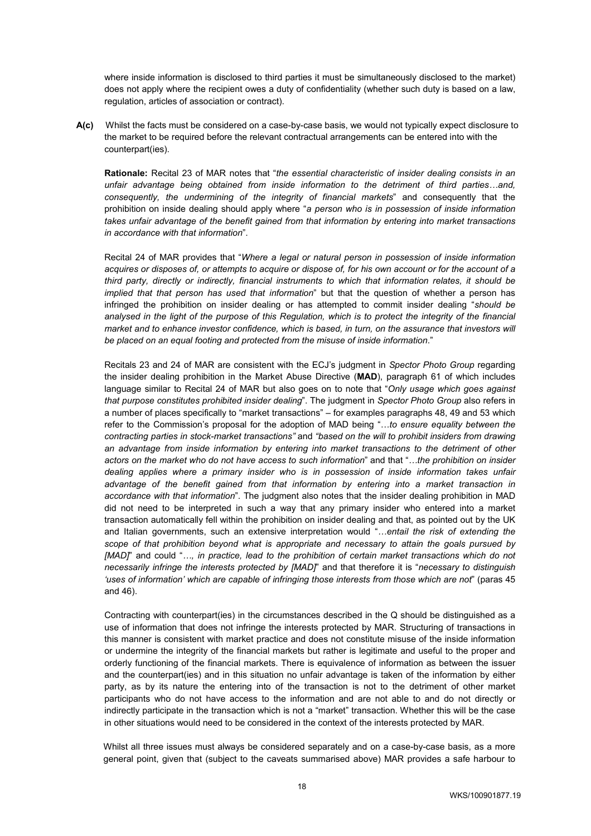where inside information is disclosed to third parties it must be simultaneously disclosed to the market) does not apply where the recipient owes a duty of confidentiality (whether such duty is based on a law, regulation, articles of association or contract).

**A(c)** Whilst the facts must be considered on a case-by-case basis, we would not typically expect disclosure to the market to be required before the relevant contractual arrangements can be entered into with the counterpart(ies).

**Rationale:** Recital 23 of MAR notes that "*the essential characteristic of insider dealing consists in an unfair advantage being obtained from inside information to the detriment of third parties…and, consequently, the undermining of the integrity of financial markets*" and consequently that the prohibition on inside dealing should apply where "*a person who is in possession of inside information takes unfair advantage of the benefit gained from that information by entering into market transactions in accordance with that information*".

Recital 24 of MAR provides that "*Where a legal or natural person in possession of inside information acquires or disposes of, or attempts to acquire or dispose of, for his own account or for the account of a third party, directly or indirectly, financial instruments to which that information relates, it should be implied that that person has used that information*" but that the question of whether a person has infringed the prohibition on insider dealing or has attempted to commit insider dealing "*should be analysed in the light of the purpose of this Regulation, which is to protect the integrity of the financial market and to enhance investor confidence, which is based, in turn, on the assurance that investors will be placed on an equal footing and protected from the misuse of inside information*."

Recitals 23 and 24 of MAR are consistent with the ECJ's judgment in *Spector Photo Group* regarding the insider dealing prohibition in the Market Abuse Directive (**MAD**), paragraph 61 of which includes language similar to Recital 24 of MAR but also goes on to note that "*Only usage which goes against that purpose constitutes prohibited insider dealing*". The judgment in *Spector Photo Group* also refers in a number of places specifically to "market transactions" – for examples paragraphs 48, 49 and 53 which refer to the Commission's proposal for the adoption of MAD being "…*to ensure equality between the contracting parties in stock-market transactions"* and *"based on the will to prohibit insiders from drawing an advantage from inside information by entering into market transactions to the detriment of other actors on the market who do not have access to such information*" and that "*…the prohibition on insider dealing applies where a primary insider who is in possession of inside information takes unfair advantage of the benefit gained from that information by entering into a market transaction in accordance with that information*". The judgment also notes that the insider dealing prohibition in MAD did not need to be interpreted in such a way that any primary insider who entered into a market transaction automatically fell within the prohibition on insider dealing and that, as pointed out by the UK and Italian governments, such an extensive interpretation would "*…entail the risk of extending the scope of that prohibition beyond what is appropriate and necessary to attain the goals pursued by [MAD]*" and could "*…, in practice, lead to the prohibition of certain market transactions which do not necessarily infringe the interests protected by [MAD]*" and that therefore it is "*necessary to distinguish 'uses of information' which are capable of infringing those interests from those which are not*" (paras 45 and 46).

Contracting with counterpart(ies) in the circumstances described in the Q should be distinguished as a use of information that does not infringe the interests protected by MAR. Structuring of transactions in this manner is consistent with market practice and does not constitute misuse of the inside information or undermine the integrity of the financial markets but rather is legitimate and useful to the proper and orderly functioning of the financial markets. There is equivalence of information as between the issuer and the counterpart(ies) and in this situation no unfair advantage is taken of the information by either party, as by its nature the entering into of the transaction is not to the detriment of other market participants who do not have access to the information and are not able to and do not directly or indirectly participate in the transaction which is not a "market" transaction. Whether this will be the case in other situations would need to be considered in the context of the interests protected by MAR.

Whilst all three issues must always be considered separately and on a case-by-case basis, as a more general point, given that (subject to the caveats summarised above) MAR provides a safe harbour to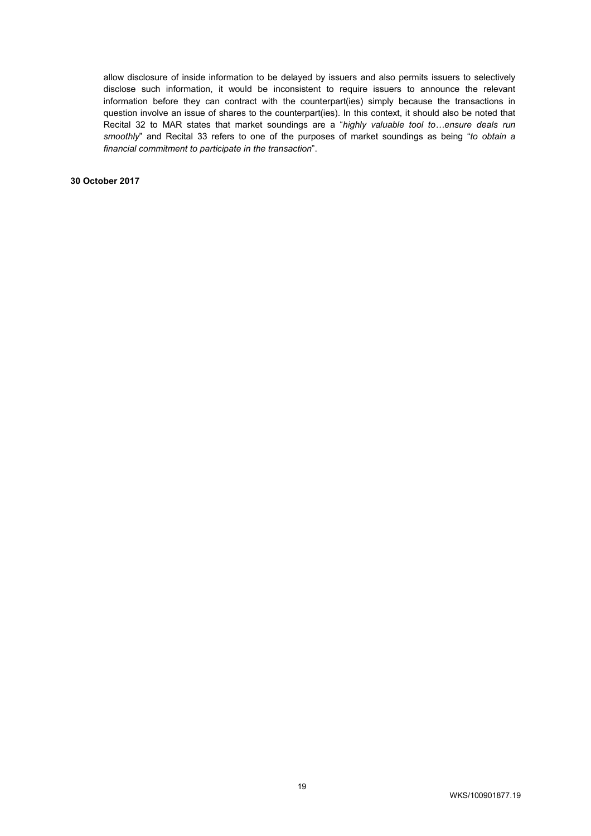allow disclosure of inside information to be delayed by issuers and also permits issuers to selectively disclose such information, it would be inconsistent to require issuers to announce the relevant information before they can contract with the counterpart(ies) simply because the transactions in question involve an issue of shares to the counterpart(ies). In this context, it should also be noted that Recital 32 to MAR states that market soundings are a "*highly valuable tool to…ensure deals run smoothly*" and Recital 33 refers to one of the purposes of market soundings as being "*to obtain a financial commitment to participate in the transaction*".

**30 October 2017**